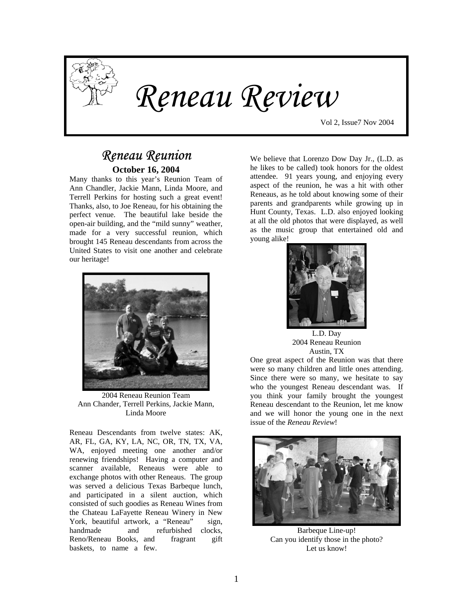

# *Reneau Review*

Vol 2, Issue7 Nov 2004

# *Reneau Reunion*  **October 16, 2004**

Many thanks to this year's Reunion Team of Ann Chandler, Jackie Mann, Linda Moore, and Terrell Perkins for hosting such a great event! Thanks, also, to Joe Reneau, for his obtaining the perfect venue. The beautiful lake beside the open-air building, and the "mild sunny" weather, made for a very successful reunion, which brought 145 Reneau descendants from across the United States to visit one another and celebrate our heritage!



2004 Reneau Reunion Team Ann Chander, Terrell Perkins, Jackie Mann, Linda Moore

Reneau Descendants from twelve states: AK, AR, FL, GA, KY, LA, NC, OR, TN, TX, VA, WA, enjoyed meeting one another and/or renewing friendships! Having a computer and scanner available, Reneaus were able to exchange photos with other Reneaus. The group was served a delicious Texas Barbeque lunch, and participated in a silent auction, which consisted of such goodies as Reneau Wines from the Chateau LaFayette Reneau Winery in New York, beautiful artwork, a "Reneau" sign, handmade and refurbished clocks, Reno/Reneau Books, and fragrant gift baskets, to name a few.

We believe that Lorenzo Dow Day Jr., (L.D. as he likes to be called) took honors for the oldest attendee. 91 years young, and enjoying every aspect of the reunion, he was a hit with other Reneaus, as he told about knowing some of their parents and grandparents while growing up in Hunt County, Texas. L.D. also enjoyed looking at all the old photos that were displayed, as well as the music group that entertained old and young alike!



L.D. Day 2004 Reneau Reunion Austin, TX

One great aspect of the Reunion was that there were so many children and little ones attending. Since there were so many, we hesitate to say who the youngest Reneau descendant was. If you think your family brought the youngest Reneau descendant to the Reunion, let me know and we will honor the young one in the next issue of the *Reneau Review*!



Barbeque Line-up! Can you identify those in the photo? Let us know!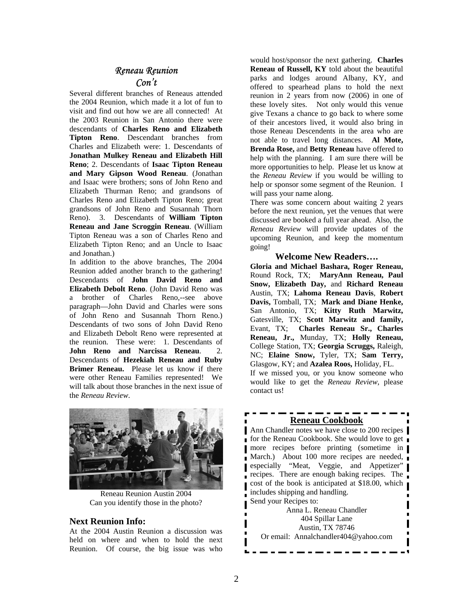# *Reneau Reunion Con't*

Several different branches of Reneaus attended the 2004 Reunion, which made it a lot of fun to visit and find out how we are all connected! At the 2003 Reunion in San Antonio there were descendants of **Charles Reno and Elizabeth Tipton Reno**. Descendant branches from Charles and Elizabeth were: 1. Descendants of **Jonathan Mulkey Reneau and Elizabeth Hill Reno**; 2. Descendants of **Isaac Tipton Reneau and Mary Gipson Wood Reneau**. (Jonathan and Isaac were brothers; sons of John Reno and Elizabeth Thurman Reno; and grandsons of Charles Reno and Elizabeth Tipton Reno; great grandsons of John Reno and Susannah Thorn Reno). 3. Descendants of **William Tipton Reneau and Jane Scroggin Reneau**. (William Tipton Reneau was a son of Charles Reno and Elizabeth Tipton Reno; and an Uncle to Isaac and Jonathan.)

In addition to the above branches, The 2004 Reunion added another branch to the gathering! Descendants of **John David Reno and Elizabeth Debolt Reno**. (John David Reno was a brother of Charles Reno,--see above paragraph—John David and Charles were sons of John Reno and Susannah Thorn Reno.) Descendants of two sons of John David Reno and Elizabeth Debolt Reno were represented at the reunion. These were: 1. Descendants of **John Reno and Narcissa Reneau.** Descendants of **Hezekiah Reneau and Ruby Brimer Reneau.** Please let us know if there were other Reneau Families represented! We will talk about those branches in the next issue of the *Reneau Review*.



Reneau Reunion Austin 2004 Can you identify those in the photo?

### **Next Reunion Info:**

At the 2004 Austin Reunion a discussion was held on where and when to hold the next Reunion. Of course, the big issue was who

would host/sponsor the next gathering. **Charles Reneau of Russell, KY** told about the beautiful parks and lodges around Albany, KY, and offered to spearhead plans to hold the next reunion in 2 years from now (2006) in one of these lovely sites. Not only would this venue give Texans a chance to go back to where some of their ancestors lived, it would also bring in those Reneau Descendents in the area who are not able to travel long distances. **Al Mote, Brenda Rose,** and **Betty Reneau** have offered to help with the planning. I am sure there will be more opportunities to help. Please let us know at the *Reneau Review* if you would be willing to help or sponsor some segment of the Reunion. I will pass your name along.

There was some concern about waiting 2 years before the next reunion, yet the venues that were discussed are booked a full year ahead. Also, the *Reneau Review* will provide updates of the upcoming Reunion, and keep the momentum going!

#### **Welcome New Readers….**

**Gloria and Michael Bashara, Roger Reneau,**  Round Rock, TX; **MaryAnn Reneau, Paul Snow, Elizabeth Day,** and **Richard Reneau** Austin, TX; **Lahoma Reneau Davis**, **Robert Davis,** Tomball, TX; **Mark and Diane Henke,** San Antonio, TX; **Kitty Ruth Marwitz,** Gatesville, TX; **Scott Marwitz and family,** Evant, TX; **Charles Reneau Sr., Charles Reneau, Jr.,** Munday, TX; **Holly Reneau,**  College Station, TX; **Georgia Scruggs,** Raleigh, NC; **Elaine Snow,** Tyler, TX; **Sam Terry,**  Glasgow, KY; and **Azalea Roos,** Holiday, FL. If we missed you, or you know someone who would like to get the *Reneau Review*, please contact us!

### **Reneau Cookbook**

Ann Chandler notes we have close to 200 recipes **for the Reneau Cookbook. She would love to get** more recipes before printing (sometime in March.) About 100 more recipes are needed, especially "Meat, Veggie, and Appetizer" recipes. There are enough baking recipes. The cost of the book is anticipated at \$18.00, which includes shipping and handling. Send your Recipes to:

Anna L. Reneau Chandler 404 Spillar Lane Austin, TX 78746 Or email: Annalchandler404@yahoo.com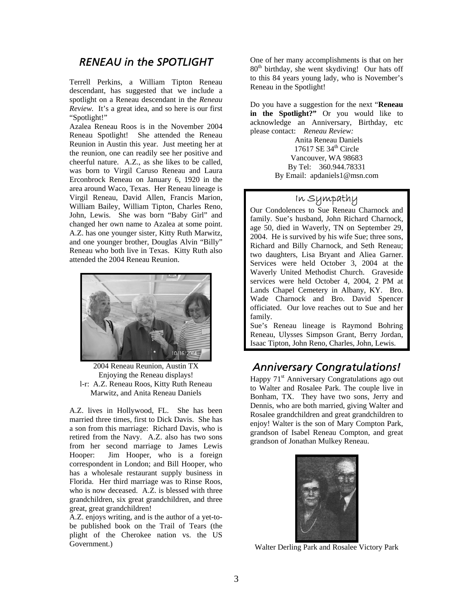# *RENEAU in the SPOTLIGHT*

Terrell Perkins, a William Tipton Reneau descendant, has suggested that we include a spotlight on a Reneau descendant in the *Reneau Review.* It's a great idea, and so here is our first "Spotlight!"

Azalea Reneau Roos is in the November 2004 Reneau Spotlight! She attended the Reneau Reunion in Austin this year. Just meeting her at the reunion, one can readily see her positive and cheerful nature. A.Z., as she likes to be called, was born to Virgil Caruso Reneau and Laura Erconbrock Reneau on January 6, 1920 in the area around Waco, Texas. Her Reneau lineage is Virgil Reneau, David Allen, Francis Marion, William Bailey, William Tipton, Charles Reno, John, Lewis. She was born "Baby Girl" and changed her own name to Azalea at some point. A.Z. has one younger sister, Kitty Ruth Marwitz, and one younger brother, Douglas Alvin "Billy" Reneau who both live in Texas. Kitty Ruth also attended the 2004 Reneau Reunion.



l-r: A.Z. Reneau Roos, Kitty Ruth Reneau Marwitz, and Anita Reneau Daniels

A.Z. lives in Hollywood, FL. She has been married three times, first to Dick Davis. She has a son from this marriage: Richard Davis, who is retired from the Navy. A.Z. also has two sons from her second marriage to James Lewis Hooper: Jim Hooper, who is a foreign correspondent in London; and Bill Hooper, who has a wholesale restaurant supply business in Florida. Her third marriage was to Rinse Roos, who is now deceased. A.Z. is blessed with three grandchildren, six great grandchildren, and three great, great grandchildren!

A.Z. enjoys writing, and is the author of a yet-tobe published book on the Trail of Tears (the plight of the Cherokee nation vs. the US Government.) Walter Derling Park and Rosalee Victory Park

One of her many accomplishments is that on her  $80<sup>th</sup>$  birthday, she went skydiving! Our hats off to this 84 years young lady, who is November's Reneau in the Spotlight!

Do you have a suggestion for the next "**Reneau in the Spotlight?"** Or you would like to acknowledge an Anniversary, Birthday, etc please contact: *Reneau Review:* 

 Anita Reneau Daniels 17617 SE  $34<sup>th</sup>$  Circle Vancouver, WA 98683 By Tel: 360.944.78331 By Email: apdaniels1@msn.com

# In Sympathy

Our Condolences to Sue Reneau Charnock and family. Sue's husband, John Richard Charnock, age 50, died in Waverly, TN on September 29, 2004. He is survived by his wife Sue; three sons, Richard and Billy Charnock, and Seth Reneau; two daughters, Lisa Bryant and Aliea Garner. Services were held October 3, 2004 at the Waverly United Methodist Church. Graveside services were held October 4, 2004, 2 PM at Lands Chapel Cemetery in Albany, KY. Bro. Wade Charnock and Bro. David Spencer officiated. Our love reaches out to Sue and her family.

Sue's Reneau lineage is Raymond Bohring Reneau, Ulysses Simpson Grant, Berry Jordan, Isaac Tipton, John Reno, Charles, John, Lewis.

# <sup>2004</sup> Reneau Reunion, Austin TX<br> **2004** Reneau Reunion, Austin TX<br> **21.1 Anniversary Congratulations!**

Happy 71<sup>st</sup> Anniversary Congratulations ago out to Walter and Rosalee Park. The couple live in Bonham, TX. They have two sons, Jerry and Dennis, who are both married, giving Walter and Rosalee grandchildren and great grandchildren to enjoy! Walter is the son of Mary Compton Park, grandson of Isabel Reneau Compton, and great grandson of Jonathan Mulkey Reneau.

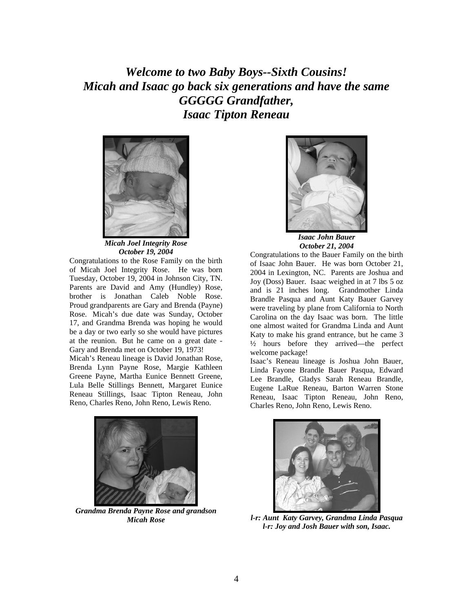*Welcome to two Baby Boys--Sixth Cousins! Micah and Isaac go back six generations and have the same GGGGG Grandfather, Isaac Tipton Reneau* 



*Micah Joel Integrity Rose October 19, 2004* 

Congratulations to the Rose Family on the birth of Micah Joel Integrity Rose. He was born Tuesday, October 19, 2004 in Johnson City, TN. Parents are David and Amy (Hundley) Rose, brother is Jonathan Caleb Noble Rose. Proud grandparents are Gary and Brenda (Payne) Rose. Micah's due date was Sunday, October 17, and Grandma Brenda was hoping he would be a day or two early so she would have pictures at the reunion. But he came on a great date - Gary and Brenda met on October 19, 1973! Micah's Reneau lineage is David Jonathan Rose,

Brenda Lynn Payne Rose, Margie Kathleen Greene Payne, Martha Eunice Bennett Greene, Lula Belle Stillings Bennett, Margaret Eunice Reneau Stillings, Isaac Tipton Reneau, John Reno, Charles Reno, John Reno, Lewis Reno.



*Grandma Brenda Payne Rose and grandson Micah Rose* 



*Isaac John Bauer October 21, 2004* 

Congratulations to the Bauer Family on the birth of Isaac John Bauer. He was born October 21, 2004 in Lexington, NC. Parents are Joshua and Joy (Doss) Bauer. Isaac weighed in at 7 lbs 5 oz and is 21 inches long. Grandmother Linda Brandle Pasqua and Aunt Katy Bauer Garvey were traveling by plane from California to North Carolina on the day Isaac was born. The little one almost waited for Grandma Linda and Aunt Katy to make his grand entrance, but he came 3 ½ hours before they arrived—the perfect welcome package!

Isaac's Reneau lineage is Joshua John Bauer, Linda Fayone Brandle Bauer Pasqua, Edward Lee Brandle, Gladys Sarah Reneau Brandle, Eugene LaRue Reneau, Barton Warren Stone Reneau, Isaac Tipton Reneau, John Reno, Charles Reno, John Reno, Lewis Reno.



*l-r: Aunt Katy Garvey, Grandma Linda Pasqua l-r: Joy and Josh Bauer with son, Isaac.*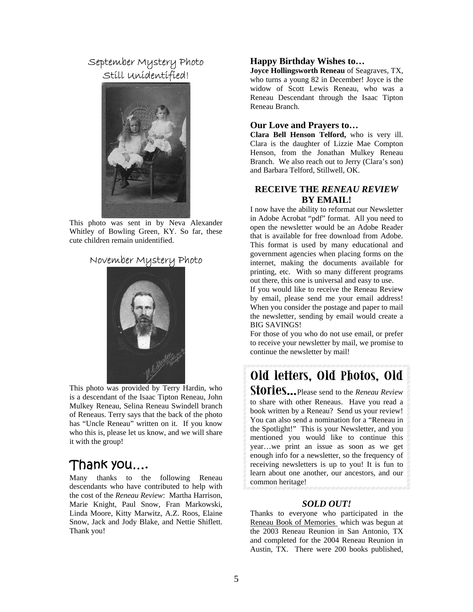# September Mystery Photo Still Unidentified!



This photo was sent in by Neva Alexander Whitley of Bowling Green, KY. So far, these cute children remain unidentified.

# November Mystery Photo



 This photo was provided by Terry Hardin, who is a descendant of the Isaac Tipton Reneau, John Mulkey Reneau, Selina Reneau Swindell branch of Reneaus. Terry says that the back of the photo has "Uncle Reneau" written on it. If you know who this is, please let us know, and we will share it with the group!

# Thank you….

Many thanks to the following Reneau descendants who have contributed to help with the cost of the *Reneau Review*: Martha Harrison, Marie Knight, Paul Snow, Fran Markowski, Linda Moore, Kitty Marwitz, A.Z. Roos, Elaine Snow, Jack and Jody Blake, and Nettie Shiflett. Thank you!

### **Happy Birthday Wishes to…**

**Joyce Hollingsworth Reneau** of Seagraves, TX, who turns a young 82 in December! Joyce is the widow of Scott Lewis Reneau, who was a Reneau Descendant through the Isaac Tipton Reneau Branch.

#### **Our Love and Prayers to…**

**Clara Bell Henson Telford,** who is very ill. Clara is the daughter of Lizzie Mae Compton Henson, from the Jonathan Mulkey Reneau Branch. We also reach out to Jerry (Clara's son) and Barbara Telford, Stillwell, OK.

## **RECEIVE THE** *RENEAU REVIEW*  **BY EMAIL!**

I now have the ability to reformat our Newsletter in Adobe Acrobat "pdf" format. All you need to open the newsletter would be an Adobe Reader that is available for free download from Adobe. This format is used by many educational and government agencies when placing forms on the internet, making the documents available for printing, etc. With so many different programs out there, this one is universal and easy to use.

If you would like to receive the Reneau Review by email, please send me your email address! When you consider the postage and paper to mail the newsletter, sending by email would create a BIG SAVINGS!

For those of you who do not use email, or prefer to receive your newsletter by mail, we promise to continue the newsletter by mail!

# **Old letters, Old Photos, Old**

**Stories…**Please send to the *Reneau Review* to share with other Reneaus. Have you read a book written by a Reneau? Send us your review! You can also send a nomination for a "Reneau in the Spotlight!" This is your Newsletter, and you mentioned you would like to continue this year…we print an issue as soon as we get enough info for a newsletter, so the frequency of receiving newsletters is up to you! It is fun to learn about one another, our ancestors, and our common heritage!

#### *SOLD OUT!*

Thanks to everyone who participated in the Reneau Book of Memories which was begun at the 2003 Reneau Reunion in San Antonio, TX and completed for the 2004 Reneau Reunion in Austin, TX. There were 200 books published,